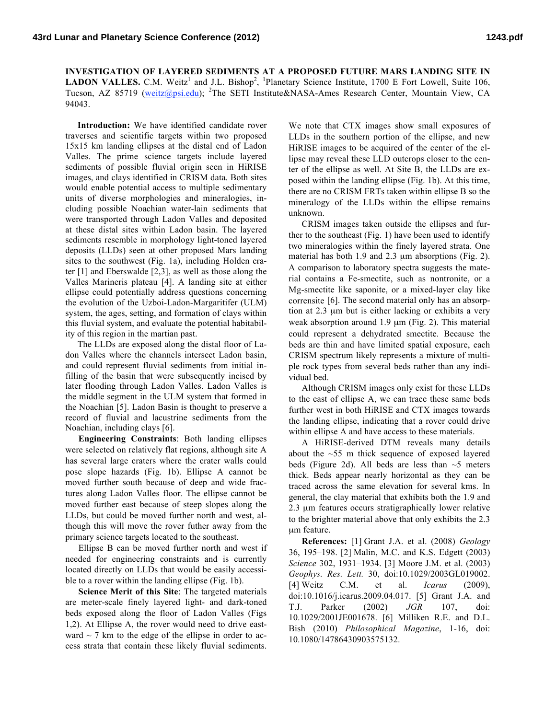**INVESTIGATION OF LAYERED SEDIMENTS AT A PROPOSED FUTURE MARS LANDING SITE IN LADON VALLES.** C.M. Weitz<sup>1</sup> and J.L. Bishop<sup>2</sup>, <sup>1</sup>Planetary Science Institute, 1700 E Fort Lowell, Suite 106, Tucson, AZ 85719 (weitz@psi.edu); <sup>2</sup>The SETI Institute&NASA-Ames Research Center, Mountain View, CA 94043.

**Introduction:** We have identified candidate rover traverses and scientific targets within two proposed 15x15 km landing ellipses at the distal end of Ladon Valles. The prime science targets include layered sediments of possible fluvial origin seen in HiRISE images, and clays identified in CRISM data. Both sites would enable potential access to multiple sedimentary units of diverse morphologies and mineralogies, including possible Noachian water-lain sediments that were transported through Ladon Valles and deposited at these distal sites within Ladon basin. The layered sediments resemble in morphology light-toned layered deposits (LLDs) seen at other proposed Mars landing sites to the southwest (Fig. 1a), including Holden crater [1] and Eberswalde [2,3], as well as those along the Valles Marineris plateau [4]. A landing site at either ellipse could potentially address questions concerning the evolution of the Uzboi-Ladon-Margaritifer (ULM) system, the ages, setting, and formation of clays within this fluvial system, and evaluate the potential habitability of this region in the martian past.

The LLDs are exposed along the distal floor of Ladon Valles where the channels intersect Ladon basin, and could represent fluvial sediments from initial infilling of the basin that were subsequently incised by later flooding through Ladon Valles. Ladon Valles is the middle segment in the ULM system that formed in the Noachian [5]. Ladon Basin is thought to preserve a record of fluvial and lacustrine sediments from the Noachian, including clays [6].

**Engineering Constraints**: Both landing ellipses were selected on relatively flat regions, although site A has several large craters where the crater walls could pose slope hazards (Fig. 1b). Ellipse A cannot be moved further south because of deep and wide fractures along Ladon Valles floor. The ellipse cannot be moved further east because of steep slopes along the LLDs, but could be moved further north and west, although this will move the rover futher away from the primary science targets located to the southeast.

Ellipse B can be moved further north and west if needed for engineering constraints and is currently located directly on LLDs that would be easily accessible to a rover within the landing ellipse (Fig. 1b).

**Science Merit of this Site**: The targeted materials are meter-scale finely layered light- and dark-toned beds exposed along the floor of Ladon Valles (Figs 1,2). At Ellipse A, the rover would need to drive eastward  $\sim$  7 km to the edge of the ellipse in order to access strata that contain these likely fluvial sediments.

We note that CTX images show small exposures of LLDs in the southern portion of the ellipse, and new HiRISE images to be acquired of the center of the ellipse may reveal these LLD outcrops closer to the center of the ellipse as well. At Site B, the LLDs are exposed within the landing ellipse (Fig. 1b). At this time, there are no CRISM FRTs taken within ellipse B so the mineralogy of the LLDs within the ellipse remains unknown.

CRISM images taken outside the ellipses and further to the southeast (Fig. 1) have been used to identify two mineralogies within the finely layered strata. One material has both 1.9 and 2.3  $\mu$ m absorptions (Fig. 2). A comparison to laboratory spectra suggests the material contains a Fe-smectite, such as nontronite, or a Mg-smectite like saponite, or a mixed-layer clay like corrensite [6]. The second material only has an absorption at 2.3 µm but is either lacking or exhibits a very weak absorption around 1.9  $\mu$ m (Fig. 2). This material could represent a dehydrated smectite. Because the beds are thin and have limited spatial exposure, each CRISM spectrum likely represents a mixture of multiple rock types from several beds rather than any individual bed.

Although CRISM images only exist for these LLDs to the east of ellipse A, we can trace these same beds further west in both HiRISE and CTX images towards the landing ellipse, indicating that a rover could drive within ellipse A and have access to these materials.

A HiRISE-derived DTM reveals many details about the  $~55$  m thick sequence of exposed layered beds (Figure 2d). All beds are less than  $\sim$ 5 meters thick. Beds appear nearly horizontal as they can be traced across the same elevation for several kms. In general, the clay material that exhibits both the 1.9 and 2.3 µm features occurs stratigraphically lower relative to the brighter material above that only exhibits the 2.3 µm feature.

**References:** [1] Grant J.A. et al. (2008) *Geology* 36, 195–198. [2] Malin, M.C. and K.S. Edgett (2003) *Science* 302, 1931–1934. [3] Moore J.M. et al. (2003) *Geophys. Res. Lett.* 30, doi:10.1029/2003GL019002. [4] Weitz C.M. et al. *Icarus* (2009), doi:10.1016/j.icarus.2009.04.017. [5] Grant J.A. and T.J. Parker (2002) *JGR* 107, doi: 10.1029/2001JE001678. [6] Milliken R.E. and D.L. Bish (2010) *Philosophical Magazine*, 1-16, doi: 10.1080/14786430903575132.